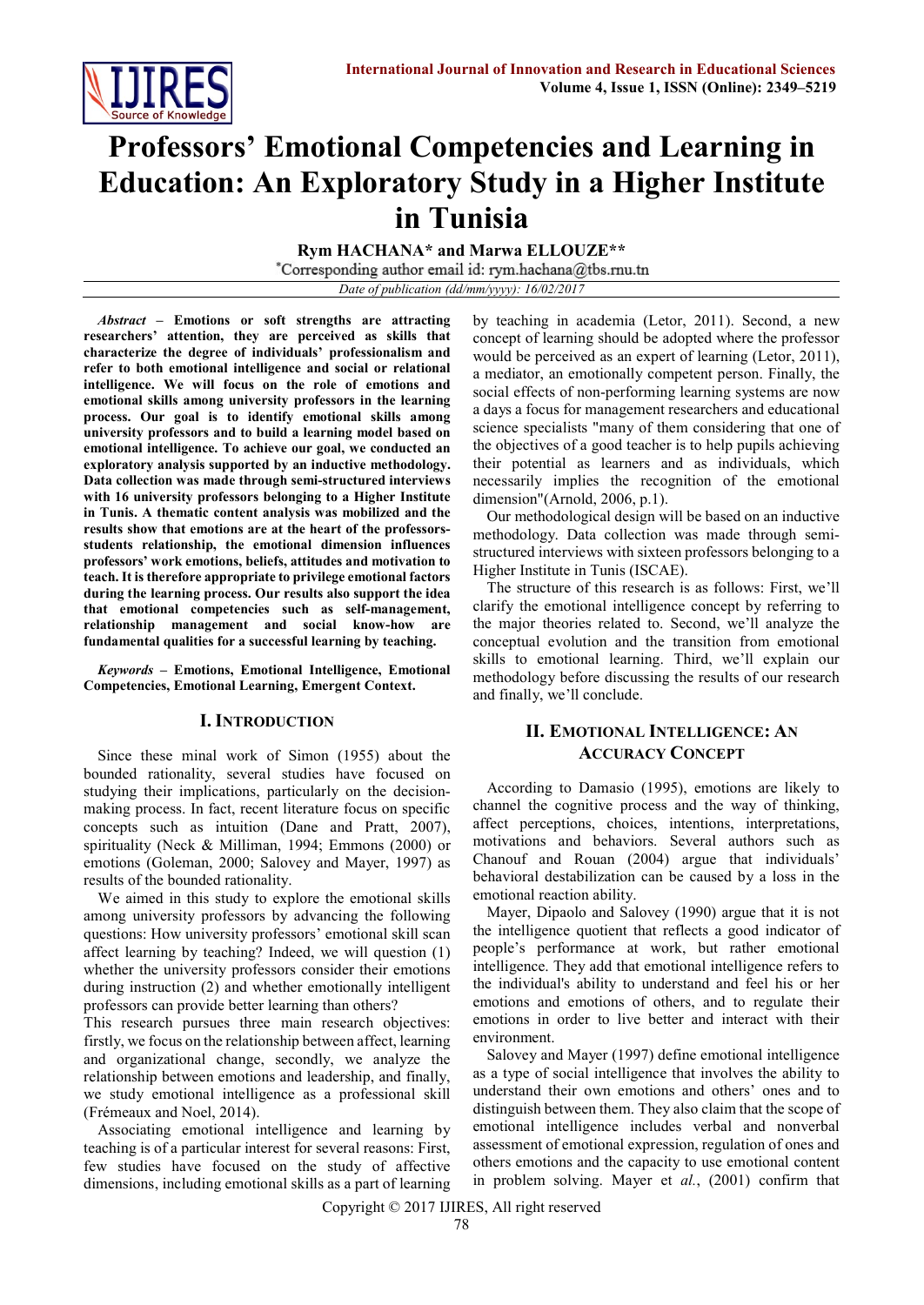

# **Professors' Emotional Competencies and Learning in Education: An Exploratory Study in a Higher Institute in Tunisia**

**Rym HACHANA\* and Marwa ELLOUZE\*\***<br>
\*Corresponding author email id: rym.hachana@tbs.rnu.tn *Date of publication (dd/mm/yyyy): 16/02/2017*

*Abstract* **– Emotions or soft strengths are attracting researchers' attention, they are perceived as skills that characterize the degree of individuals' professionalism and refer to both emotional intelligence and social or relational intelligence. We will focus on the role of emotions and emotional skills among university professors in the learning process. Our goal is to identify emotional skills among university professors and to build a learning model based on emotional intelligence. To achieve our goal, we conducted an exploratory analysis supported by an inductive methodology. Data collection was made through semi-structured interviews with 16 university professors belonging to a Higher Institute in Tunis. A thematic content analysis was mobilized and the results show that emotions are at the heart of the professorsstudents relationship, the emotional dimension influences professors' work emotions, beliefs, attitudes and motivation to teach. It is therefore appropriate to privilege emotional factors during the learning process. Our results also support the idea that emotional competencies such as self-management, relationship management and social know-how are fundamental qualities for a successful learning by teaching.**

*Keywords* **– Emotions, Emotional Intelligence, Emotional Competencies, Emotional Learning, Emergent Context.**

### **I. INTRODUCTION**

Since these minal work of Simon (1955) about the bounded rationality, several studies have focused on studying their implications, particularly on the decisionmaking process. In fact, recent literature focus on specific concepts such as intuition (Dane and Pratt, 2007), spirituality (Neck & Milliman, 1994; Emmons (2000) or emotions (Goleman, 2000; Salovey and Mayer, 1997) as results of the bounded rationality.

We aimed in this study to explore the emotional skills among university professors by advancing the following questions: How university professors' emotional skill scan affect learning by teaching? Indeed, we will question (1) whether the university professors consider their emotions during instruction (2) and whether emotionally intelligent professors can provide better learning than others?

This research pursues three main research objectives: firstly, we focus on the relationship between affect, learning and organizational change, secondly, we analyze the relationship between emotions and leadership, and finally, we study emotional intelligence as a professional skill (Frémeaux and Noel, 2014).

Associating emotional intelligence and learning by teaching is of a particular interest for several reasons: First, few studies have focused on the study of affective dimensions, including emotional skills as a part of learning by teaching in academia (Letor, 2011). Second, a new concept of learning should be adopted where the professor would be perceived as an expert of learning (Letor, 2011), a mediator, an emotionally competent person. Finally, the social effects of non-performing learning systems are now a days a focus for management researchers and educational science specialists "many of them considering that one of the objectives of a good teacher is to help pupils achieving their potential as learners and as individuals, which necessarily implies the recognition of the emotional dimension"(Arnold, 2006, p.1).

Our methodological design will be based on an inductive methodology. Data collection was made through semistructured interviews with sixteen professors belonging to a Higher Institute in Tunis (ISCAE).

The structure of this research is as follows: First, we'll clarify the emotional intelligence concept by referring to the major theories related to. Second, we'll analyze the conceptual evolution and the transition from emotional skills to emotional learning. Third, we'll explain our methodology before discussing the results of our research and finally, we'll conclude.

## **II. EMOTIONAL INTELLIGENCE: AN ACCURACY CONCEPT**

According to Damasio (1995), emotions are likely to channel the cognitive process and the way of thinking, affect perceptions, choices, intentions, interpretations, motivations and behaviors. Several authors such as Chanouf and Rouan (2004) argue that individuals' behavioral destabilization can be caused by a loss in the emotional reaction ability.

Mayer, Dipaolo and Salovey (1990) argue that it is not the intelligence quotient that reflects a good indicator of people's performance at work, but rather emotional intelligence. They add that emotional intelligence refers to the individual's ability to understand and feel his or her emotions and emotions of others, and to regulate their emotions in order to live better and interact with their environment.

Salovey and Mayer (1997) define emotional intelligence as a type of social intelligence that involves the ability to understand their own emotions and others' ones and to distinguish between them. They also claim that the scope of emotional intelligence includes verbal and nonverbal assessment of emotional expression, regulation of ones and others emotions and the capacity to use emotional content in problem solving. Mayer et *al.*, (2001) confirm that

Copyright © 2017 IJIRES, All right reserved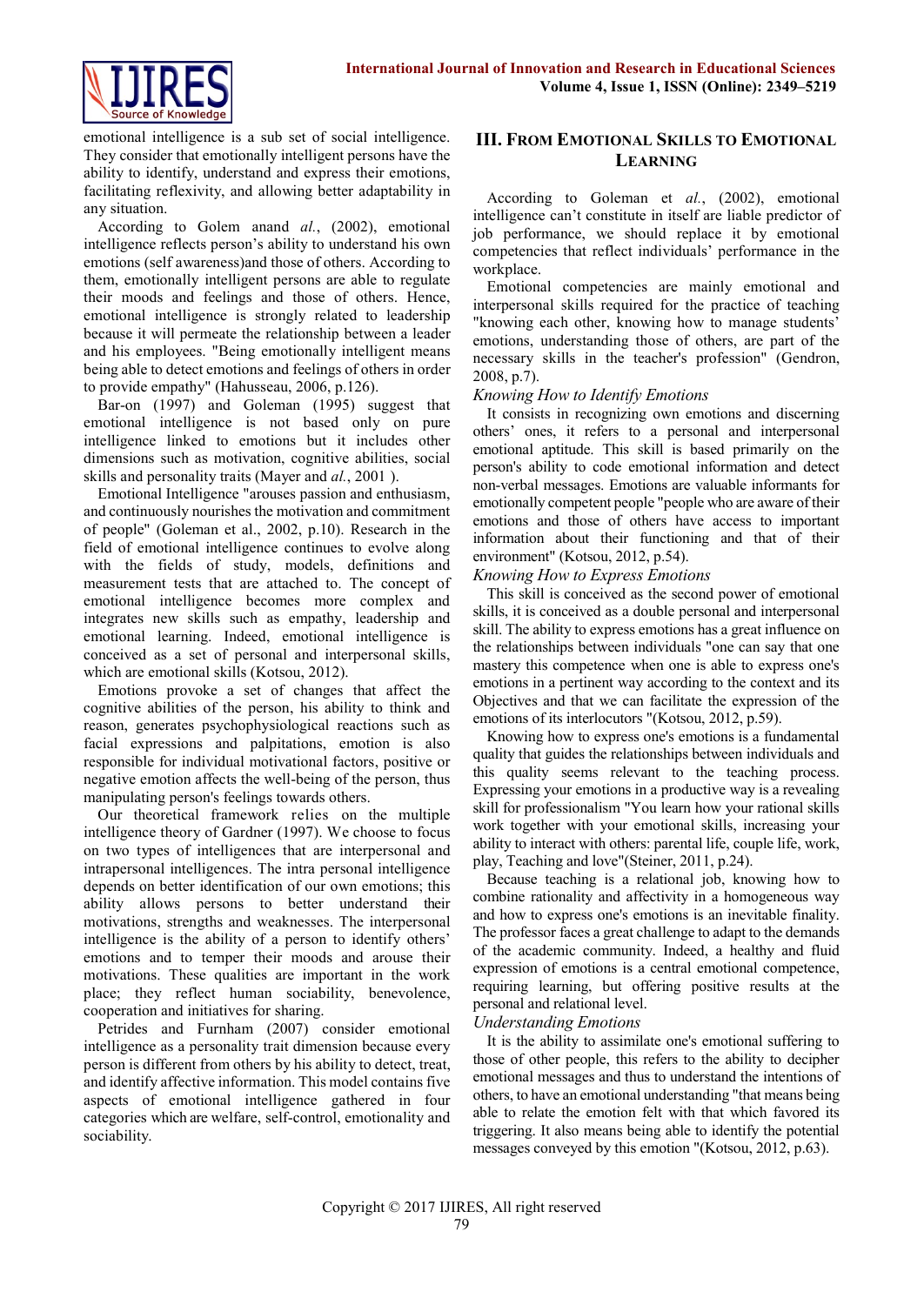

emotional intelligence is a sub set of social intelligence. They consider that emotionally intelligent persons have the ability to identify, understand and express their emotions, facilitating reflexivity, and allowing better adaptability in any situation.

According to Golem anand *al.*, (2002), emotional intelligence reflects person's ability to understand his own emotions (self awareness)and those of others. According to them, emotionally intelligent persons are able to regulate their moods and feelings and those of others. Hence, emotional intelligence is strongly related to leadership because it will permeate the relationship between a leader and his employees. "Being emotionally intelligent means being able to detect emotions and feelings of others in order to provide empathy" (Hahusseau, 2006, p.126).

Bar-on (1997) and Goleman (1995) suggest that emotional intelligence is not based only on pure intelligence linked to emotions but it includes other dimensions such as motivation, cognitive abilities, social skills and personality traits (Mayer and *al.*, 2001 ).

Emotional Intelligence "arouses passion and enthusiasm, and continuously nourishes the motivation and commitment of people" (Goleman et al., 2002, p.10). Research in the field of emotional intelligence continues to evolve along with the fields of study, models, definitions and measurement tests that are attached to. The concept of emotional intelligence becomes more complex and integrates new skills such as empathy, leadership and emotional learning. Indeed, emotional intelligence is conceived as a set of personal and interpersonal skills, which are emotional skills (Kotsou, 2012).

Emotions provoke a set of changes that affect the cognitive abilities of the person, his ability to think and reason, generates psychophysiological reactions such as facial expressions and palpitations, emotion is also responsible for individual motivational factors, positive or negative emotion affects the well-being of the person, thus manipulating person's feelings towards others.

Our theoretical framework relies on the multiple intelligence theory of Gardner (1997). We choose to focus on two types of intelligences that are interpersonal and intrapersonal intelligences. The intra personal intelligence depends on better identification of our own emotions; this ability allows persons to better understand their motivations, strengths and weaknesses. The interpersonal intelligence is the ability of a person to identify others' emotions and to temper their moods and arouse their motivations. These qualities are important in the work place; they reflect human sociability, benevolence, cooperation and initiatives for sharing.

Petrides and Furnham (2007) consider emotional intelligence as a personality trait dimension because every person is different from others by his ability to detect, treat, and identify affective information. This model contains five aspects of emotional intelligence gathered in four categories which are welfare, self-control, emotionality and sociability.

# **III. FROM EMOTIONAL SKILLS TO EMOTIONAL LEARNING**

According to Goleman et *al.*, (2002), emotional intelligence can't constitute in itself are liable predictor of job performance, we should replace it by emotional competencies that reflect individuals' performance in the workplace.

Emotional competencies are mainly emotional and interpersonal skills required for the practice of teaching "knowing each other, knowing how to manage students' emotions, understanding those of others, are part of the necessary skills in the teacher's profession" (Gendron, 2008, p.7).

## *Knowing How to Identify Emotions*

It consists in recognizing own emotions and discerning others' ones, it refers to a personal and interpersonal emotional aptitude. This skill is based primarily on the person's ability to code emotional information and detect non-verbal messages. Emotions are valuable informants for emotionally competent people "people who are aware of their emotions and those of others have access to important information about their functioning and that of their environment" (Kotsou, 2012, p.54).

### *Knowing How to Express Emotions*

This skill is conceived as the second power of emotional skills, it is conceived as a double personal and interpersonal skill. The ability to express emotions has a great influence on the relationships between individuals "one can say that one mastery this competence when one is able to express one's emotions in a pertinent way according to the context and its Objectives and that we can facilitate the expression of the emotions of its interlocutors "(Kotsou, 2012, p.59).

Knowing how to express one's emotions is a fundamental quality that guides the relationships between individuals and this quality seems relevant to the teaching process. Expressing your emotions in a productive way is a revealing skill for professionalism "You learn how your rational skills work together with your emotional skills, increasing your ability to interact with others: parental life, couple life, work, play, Teaching and love"(Steiner, 2011, p.24).

Because teaching is a relational job, knowing how to combine rationality and affectivity in a homogeneous way and how to express one's emotions is an inevitable finality. The professor faces a great challenge to adapt to the demands of the academic community. Indeed, a healthy and fluid expression of emotions is a central emotional competence, requiring learning, but offering positive results at the personal and relational level.

## *Understanding Emotions*

It is the ability to assimilate one's emotional suffering to those of other people, this refers to the ability to decipher emotional messages and thus to understand the intentions of others, to have an emotional understanding "that means being able to relate the emotion felt with that which favored its triggering. It also means being able to identify the potential messages conveyed by this emotion "(Kotsou, 2012, p.63).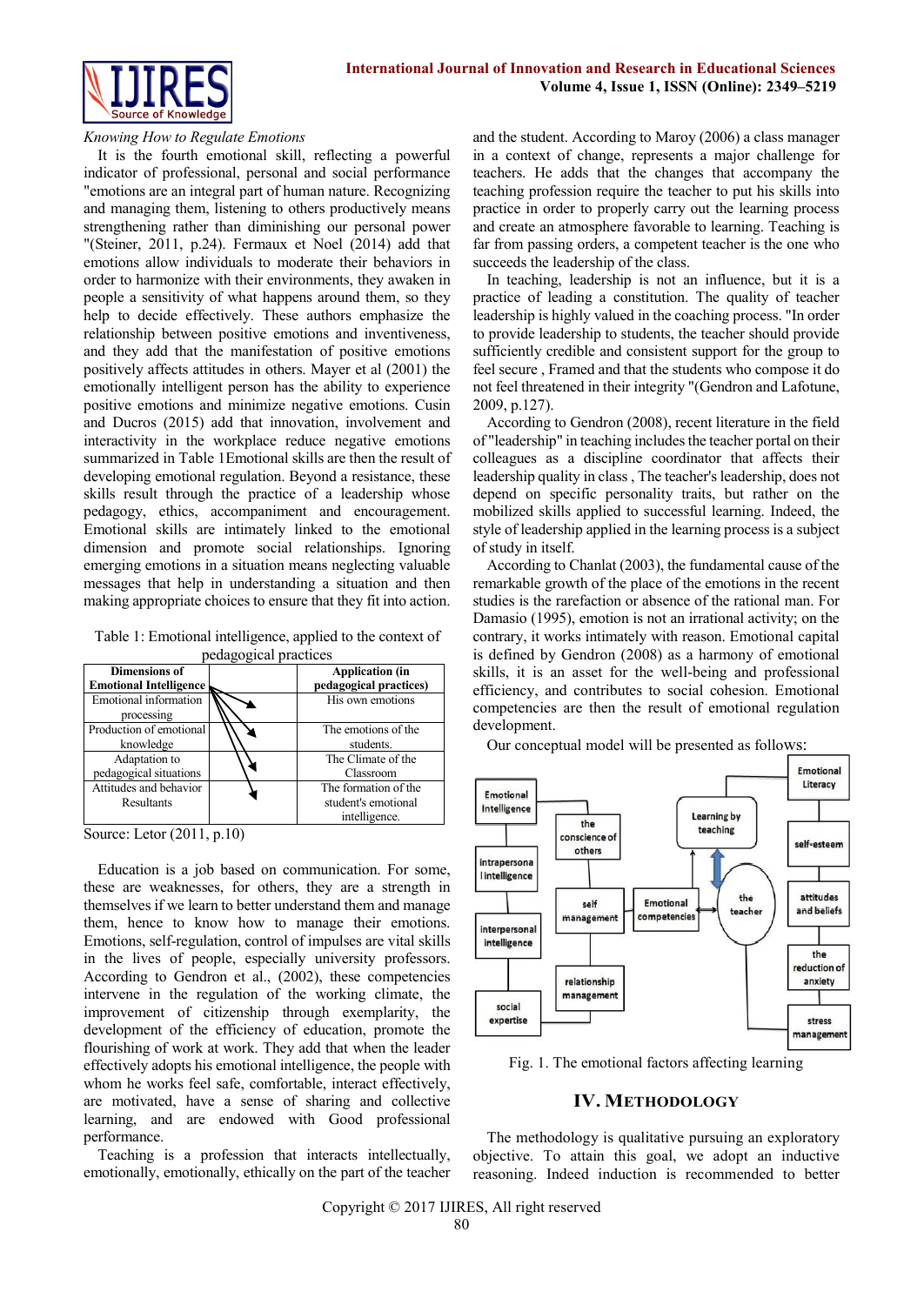

#### *Knowing How to Regulate Emotions*

It is the fourth emotional skill, reflecting a powerful indicator of professional, personal and social performance "emotions are an integral part of human nature. Recognizing and managing them, listening to others productively means strengthening rather than diminishing our personal power "(Steiner, 2011, p.24). Fermaux et Noel (2014) add that emotions allow individuals to moderate their behaviors in order to harmonize with their environments, they awaken in people a sensitivity of what happens around them, so they help to decide effectively. These authors emphasize the relationship between positive emotions and inventiveness, and they add that the manifestation of positive emotions positively affects attitudes in others. Mayer et al (2001) the emotionally intelligent person has the ability to experience positive emotions and minimize negative emotions. Cusin and Ducros (2015) add that innovation, involvement and interactivity in the workplace reduce negative emotions summarized in Table 1Emotional skills are then the result of developing emotional regulation. Beyond a resistance, these skills result through the practice of a leadership whose pedagogy, ethics, accompaniment and encouragement. Emotional skills are intimately linked to the emotional dimension and promote social relationships. Ignoring emerging emotions in a situation means neglecting valuable messages that help in understanding a situation and then making appropriate choices to ensure that they fit into action.

Table 1: Emotional intelligence, applied to the context of pedagogical practices

| peuagogieai praetices                                 |  |                                                              |
|-------------------------------------------------------|--|--------------------------------------------------------------|
| <b>Dimensions of</b><br><b>Emotional Intelligence</b> |  | <b>Application</b> (in<br>pedagogical practices)             |
| <b>Emotional information</b><br>processing            |  | His own emotions                                             |
| Production of emotional<br>knowledge                  |  | The emotions of the<br>students.                             |
| Adaptation to<br>pedagogical situations               |  | The Climate of the<br>Classroom                              |
| Attitudes and behavior<br>Resultants                  |  | The formation of the<br>student's emotional<br>intelligence. |

Source: Letor (2011, p.10)

Education is a job based on communication. For some, these are weaknesses, for others, they are a strength in themselves if we learn to better understand them and manage them, hence to know how to manage their emotions. Emotions, self-regulation, control of impulses are vital skills in the lives of people, especially university professors. According to Gendron et al., (2002), these competencies intervene in the regulation of the working climate, the improvement of citizenship through exemplarity, the development of the efficiency of education, promote the flourishing of work at work. They add that when the leader effectively adopts his emotional intelligence, the people with whom he works feel safe, comfortable, interact effectively, are motivated, have a sense of sharing and collective learning, and are endowed with Good professional performance.

Teaching is a profession that interacts intellectually, emotionally, emotionally, ethically on the part of the teacher and the student. According to Maroy (2006) a class manager in a context of change, represents a major challenge for teachers. He adds that the changes that accompany the teaching profession require the teacher to put his skills into practice in order to properly carry out the learning process and create an atmosphere favorable to learning. Teaching is far from passing orders, a competent teacher is the one who succeeds the leadership of the class.

In teaching, leadership is not an influence, but it is a practice of leading a constitution. The quality of teacher leadership is highly valued in the coaching process. "In order to provide leadership to students, the teacher should provide sufficiently credible and consistent support for the group to feel secure , Framed and that the students who compose it do not feel threatened in their integrity "(Gendron and Lafotune, 2009, p.127).

According to Gendron (2008), recent literature in the field of "leadership" in teaching includes the teacher portal on their colleagues as a discipline coordinator that affects their leadership quality in class , The teacher's leadership, does not depend on specific personality traits, but rather on the mobilized skills applied to successful learning. Indeed, the style of leadership applied in the learning process is a subject of study in itself.

According to Chanlat (2003), the fundamental cause of the remarkable growth of the place of the emotions in the recent studies is the rarefaction or absence of the rational man. For Damasio (1995), emotion is not an irrational activity; on the contrary, it works intimately with reason. Emotional capital is defined by Gendron (2008) as a harmony of emotional skills, it is an asset for the well-being and professional efficiency, and contributes to social cohesion. Emotional competencies are then the result of emotional regulation development.

Our conceptual model will be presented as follows:



Fig. 1. The emotional factors affecting learning

### **IV. METHODOLOGY**

The methodology is qualitative pursuing an exploratory objective. To attain this goal, we adopt an inductive reasoning. Indeed induction is recommended to better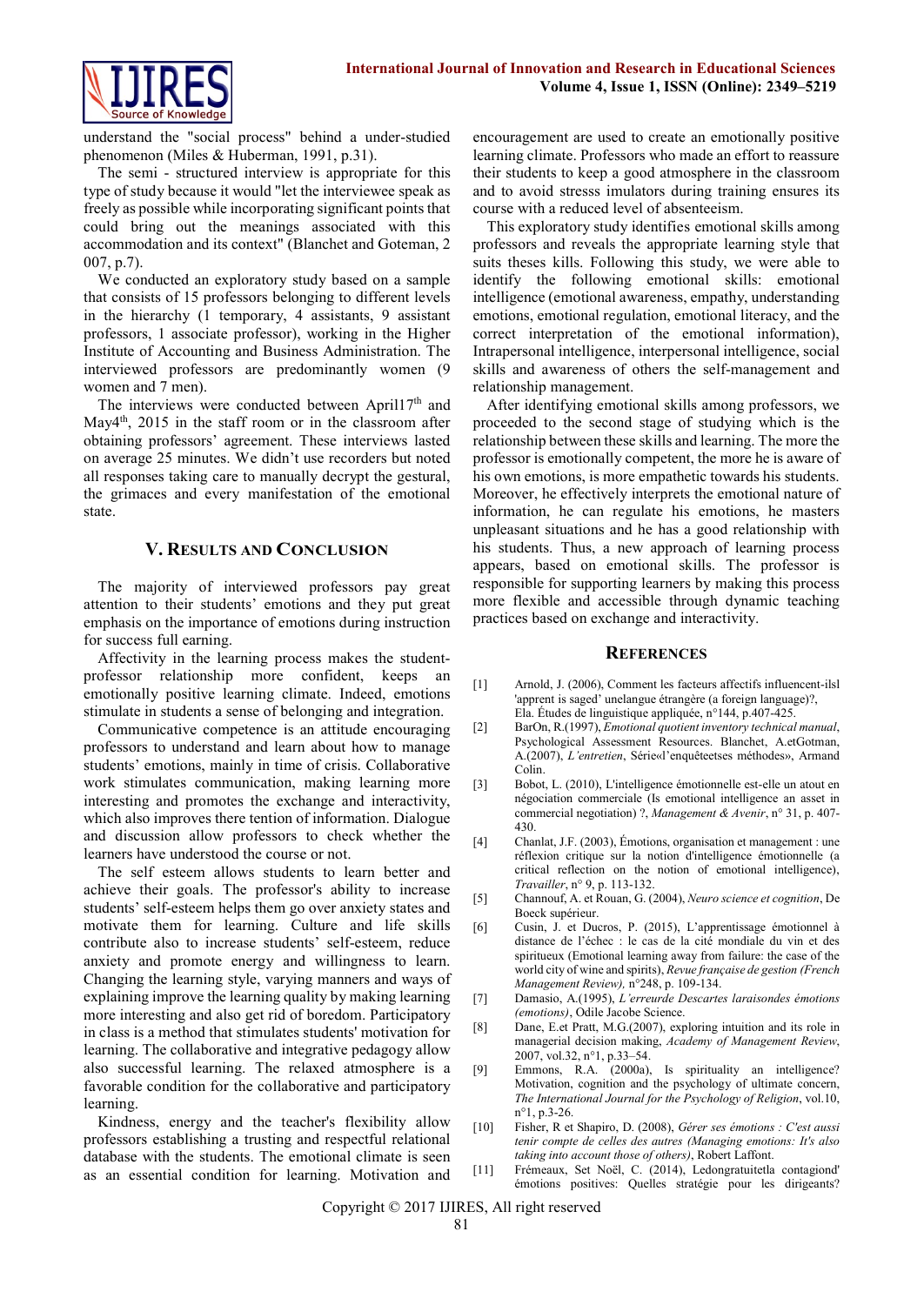

understand the "social process" behind a under-studied phenomenon (Miles & Huberman, 1991, p.31).

The semi - structured interview is appropriate for this type of study because it would "let the interviewee speak as freely as possible while incorporating significant points that could bring out the meanings associated with this accommodation and its context" (Blanchet and Goteman, 2 007, p.7).

We conducted an exploratory study based on a sample that consists of 15 professors belonging to different levels in the hierarchy (1 temporary, 4 assistants, 9 assistant professors, 1 associate professor), working in the Higher Institute of Accounting and Business Administration. The interviewed professors are predominantly women (9 women and 7 men).

The interviews were conducted between April17<sup>th</sup> and May4<sup>th</sup>, 2015 in the staff room or in the classroom after obtaining professors' agreement. These interviews lasted on average 25 minutes. We didn't use recorders but noted all responses taking care to manually decrypt the gestural, the grimaces and every manifestation of the emotional state.

## **V. RESULTS AND CONCLUSION**

The majority of interviewed professors pay great attention to their students' emotions and they put great emphasis on the importance of emotions during instruction for success full earning.

Affectivity in the learning process makes the studentprofessor relationship more confident, keeps an emotionally positive learning climate. Indeed, emotions stimulate in students a sense of belonging and integration.

Communicative competence is an attitude encouraging professors to understand and learn about how to manage students' emotions, mainly in time of crisis. Collaborative work stimulates communication, making learning more interesting and promotes the exchange and interactivity, which also improves there tention of information. Dialogue and discussion allow professors to check whether the learners have understood the course or not.

The self esteem allows students to learn better and achieve their goals. The professor's ability to increase students' self-esteem helps them go over anxiety states and motivate them for learning. Culture and life skills contribute also to increase students' self-esteem, reduce anxiety and promote energy and willingness to learn. Changing the learning style, varying manners and ways of explaining improve the learning quality by making learning more interesting and also get rid of boredom. Participatory in class is a method that stimulates students' motivation for learning. The collaborative and integrative pedagogy allow also successful learning. The relaxed atmosphere is a favorable condition for the collaborative and participatory learning.

Kindness, energy and the teacher's flexibility allow professors establishing a trusting and respectful relational database with the students. The emotional climate is seen as an essential condition for learning. Motivation and encouragement are used to create an emotionally positive learning climate. Professors who made an effort to reassure their students to keep a good atmosphere in the classroom and to avoid stresss imulators during training ensures its course with a reduced level of absenteeism.

This exploratory study identifies emotional skills among professors and reveals the appropriate learning style that suits theses kills. Following this study, we were able to identify the following emotional skills: emotional intelligence (emotional awareness, empathy, understanding emotions, emotional regulation, emotional literacy, and the correct interpretation of the emotional information), Intrapersonal intelligence, interpersonal intelligence, social skills and awareness of others the self-management and relationship management.

After identifying emotional skills among professors, we proceeded to the second stage of studying which is the relationship between these skills and learning. The more the professor is emotionally competent, the more he is aware of his own emotions, is more empathetic towards his students. Moreover, he effectively interprets the emotional nature of information, he can regulate his emotions, he masters unpleasant situations and he has a good relationship with his students. Thus, a new approach of learning process appears, based on emotional skills. The professor is responsible for supporting learners by making this process more flexible and accessible through dynamic teaching practices based on exchange and interactivity.

#### **REFERENCES**

- [1] Arnold, J. (2006), Comment les facteurs affectifs influencent-ilsl 'apprent is saged' unelangue étrangère (a foreign language)?, Ela. Études de linguistique appliquée, n°144, p.407-425.
- [2] BarOn, R.(1997), *Emotional quotient inventory technical manual*, Psychological Assessment Resources. Blanchet, A.etGotman, A.(2007), *L'entretien*, Série«l'enquêteetses méthodes», Armand Colin.
- [3] Bobot, L. (2010), L'intelligence émotionnelle est-elle un atout en négociation commerciale (Is emotional intelligence an asset in commercial negotiation) ?, *Management & Avenir*, n° 31, p. 407- 430.
- [4] Chanlat, J.F. (2003), Émotions, organisation et management : une réflexion critique sur la notion d'intelligence émotionnelle (a critical reflection on the notion of emotional intelligence), *Travailler*, n° 9, p. 113-132.
- [5] Channouf, A. et Rouan, G. (2004), *Neuro science et cognition*, De Boeck supérieur.
- [6] Cusin, J. et Ducros, P. (2015), L'apprentissage émotionnel à distance de l'échec : le cas de la cité mondiale du vin et des spiritueux (Emotional learning away from failure: the case of the world city of wine and spirits), *Revue française de gestion (French Management Review),* n°248, p. 109-134.
- [7] Damasio, A.(1995), *L'erreurde Descartes laraisondes émotions (emotions)*, Odile Jacobe Science.
- [8] Dane, E.et Pratt, M.G.(2007), exploring intuition and its role in managerial decision making, *Academy of Management Review*, 2007, vol.32, n°1, p.33–54.
- [9] Emmons, R.A. (2000a), Is spirituality an intelligence? Motivation, cognition and the psychology of ultimate concern, *The International Journal for the Psychology of Religion*, vol.10, n°1, p.3-26.
- [10] Fisher, R et Shapiro, D. (2008), *Gérer ses émotions : C'est aussi tenir compte de celles des autres (Managing emotions: It's also taking into account those of others)*, Robert Laffont.
- [11] Frémeaux, Set Noël, C. (2014), Ledongratuitetla contagiond' émotions positives: Quelles stratégie pour les dirigeants?

Copyright © 2017 IJIRES, All right reserved